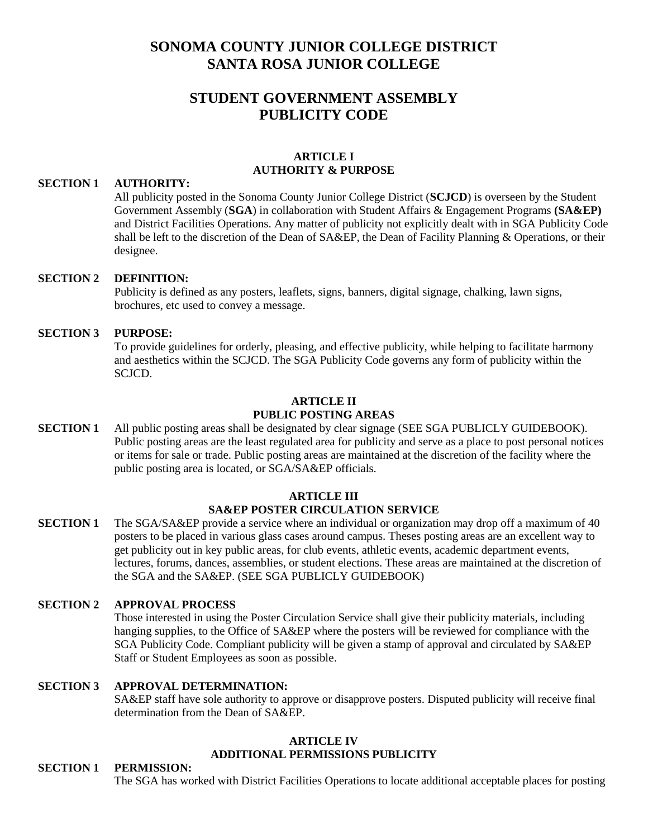# **SONOMA COUNTY JUNIOR COLLEGE DISTRICT SANTA ROSA JUNIOR COLLEGE**

# **STUDENT GOVERNMENT ASSEMBLY PUBLICITY CODE**

#### **ARTICLE I AUTHORITY & PURPOSE**

#### **SECTION 1 AUTHORITY:**

All publicity posted in the Sonoma County Junior College District (**SCJCD**) is overseen by the Student Government Assembly (**SGA**) in collaboration with Student Affairs & Engagement Programs **(SA&EP)**  and District Facilities Operations. Any matter of publicity not explicitly dealt with in SGA Publicity Code shall be left to the discretion of the Dean of SA&EP, the Dean of Facility Planning & Operations, or their designee.

#### **SECTION 2 DEFINITION:**

Publicity is defined as any posters, leaflets, signs, banners, digital signage, chalking, lawn signs, brochures, etc used to convey a message.

#### **SECTION 3 PURPOSE:**

To provide guidelines for orderly, pleasing, and effective publicity, while helping to facilitate harmony and aesthetics within the SCJCD. The SGA Publicity Code governs any form of publicity within the SCJCD.

#### **ARTICLE II**

### **PUBLIC POSTING AREAS**

**SECTION 1** All public posting areas shall be designated by clear signage (SEE SGA PUBLICLY GUIDEBOOK). Public posting areas are the least regulated area for publicity and serve as a place to post personal notices or items for sale or trade. Public posting areas are maintained at the discretion of the facility where the public posting area is located, or SGA/SA&EP officials.

#### **ARTICLE III**

# **SA&EP POSTER CIRCULATION SERVICE**

**SECTION 1** The SGA/SA&EP provide a service where an individual or organization may drop off a maximum of 40 posters to be placed in various glass cases around campus. Theses posting areas are an excellent way to get publicity out in key public areas, for club events, athletic events, academic department events, lectures, forums, dances, assemblies, or student elections. These areas are maintained at the discretion of the SGA and the SA&EP. (SEE SGA PUBLICLY GUIDEBOOK)

#### **SECTION 2 APPROVAL PROCESS**

Those interested in using the Poster Circulation Service shall give their publicity materials, including hanging supplies, to the Office of SA&EP where the posters will be reviewed for compliance with the SGA Publicity Code. Compliant publicity will be given a stamp of approval and circulated by SA&EP Staff or Student Employees as soon as possible.

#### **SECTION 3 APPROVAL DETERMINATION:**

SA&EP staff have sole authority to approve or disapprove posters. Disputed publicity will receive final determination from the Dean of SA&EP.

#### **ARTICLE IV ADDITIONAL PERMISSIONS PUBLICITY**

#### **SECTION 1 PERMISSION:**

The SGA has worked with District Facilities Operations to locate additional acceptable places for posting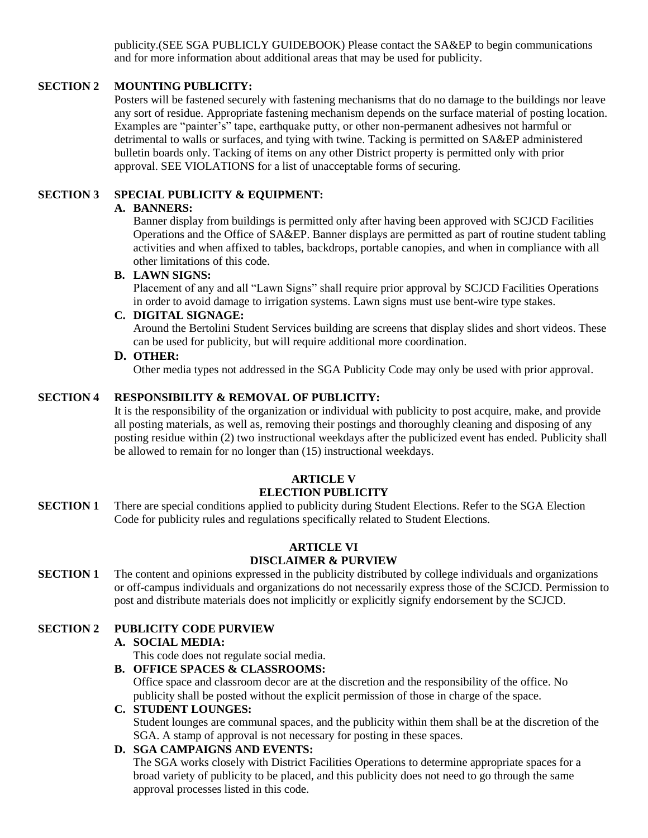publicity.(SEE SGA PUBLICLY GUIDEBOOK) Please contact the SA&EP to begin communications and for more information about additional areas that may be used for publicity.

# **SECTION 2 MOUNTING PUBLICITY:**

Posters will be fastened securely with fastening mechanisms that do no damage to the buildings nor leave any sort of residue. Appropriate fastening mechanism depends on the surface material of posting location. Examples are "painter's" tape, earthquake putty, or other non-permanent adhesives not harmful or detrimental to walls or surfaces, and tying with twine. Tacking is permitted on SA&EP administered bulletin boards only. Tacking of items on any other District property is permitted only with prior approval. SEE VIOLATIONS for a list of unacceptable forms of securing.

## **SECTION 3 SPECIAL PUBLICITY & EQUIPMENT:**

### **A. BANNERS:**

Banner display from buildings is permitted only after having been approved with SCJCD Facilities Operations and the Office of SA&EP. Banner displays are permitted as part of routine student tabling activities and when affixed to tables, backdrops, portable canopies, and when in compliance with all other limitations of this code.

## **B. LAWN SIGNS:**

Placement of any and all "Lawn Signs" shall require prior approval by SCJCD Facilities Operations in order to avoid damage to irrigation systems. Lawn signs must use bent-wire type stakes.

## **C. DIGITAL SIGNAGE:**

Around the Bertolini Student Services building are screens that display slides and short videos. These can be used for publicity, but will require additional more coordination.

#### **D. OTHER:**

Other media types not addressed in the SGA Publicity Code may only be used with prior approval.

### **SECTION 4 RESPONSIBILITY & REMOVAL OF PUBLICITY:**

It is the responsibility of the organization or individual with publicity to post acquire, make, and provide all posting materials, as well as, removing their postings and thoroughly cleaning and disposing of any posting residue within (2) two instructional weekdays after the publicized event has ended. Publicity shall be allowed to remain for no longer than (15) instructional weekdays.

# **ARTICLE V**

# **ELECTION PUBLICITY**

**SECTION 1** There are special conditions applied to publicity during Student Elections. Refer to the SGA Election Code for publicity rules and regulations specifically related to Student Elections.

#### **ARTICLE VI DISCLAIMER & PURVIEW**

**SECTION 1** The content and opinions expressed in the publicity distributed by college individuals and organizations or off-campus individuals and organizations do not necessarily express those of the SCJCD. Permission to post and distribute materials does not implicitly or explicitly signify endorsement by the SCJCD.

# **SECTION 2 PUBLICITY CODE PURVIEW**

### **A. SOCIAL MEDIA:**

This code does not regulate social media.

#### **B. OFFICE SPACES & CLASSROOMS:**

Office space and classroom decor are at the discretion and the responsibility of the office. No publicity shall be posted without the explicit permission of those in charge of the space.

## **C. STUDENT LOUNGES:**

Student lounges are communal spaces, and the publicity within them shall be at the discretion of the SGA. A stamp of approval is not necessary for posting in these spaces.

# **D. SGA CAMPAIGNS AND EVENTS:**

The SGA works closely with District Facilities Operations to determine appropriate spaces for a broad variety of publicity to be placed, and this publicity does not need to go through the same approval processes listed in this code.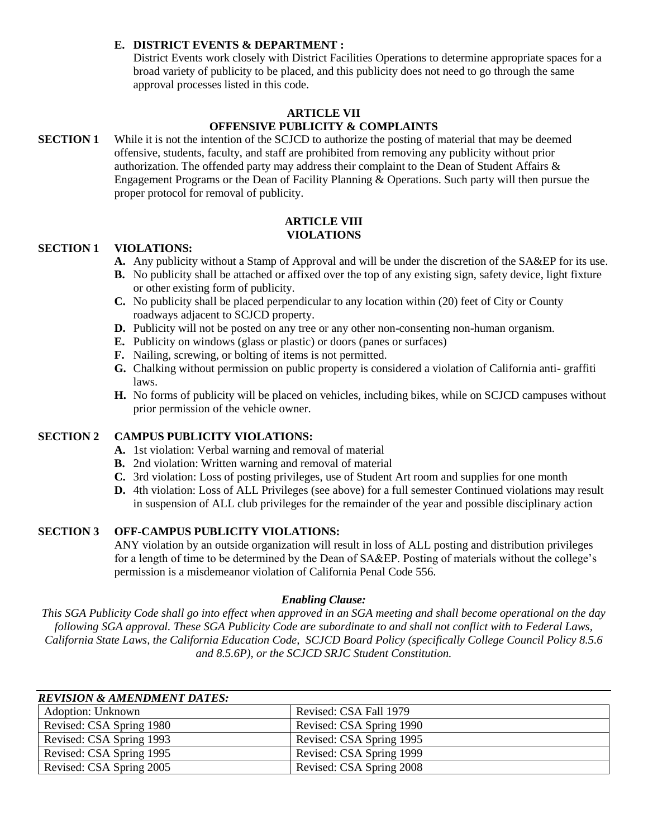### **E. DISTRICT EVENTS & DEPARTMENT :**

District Events work closely with District Facilities Operations to determine appropriate spaces for a broad variety of publicity to be placed, and this publicity does not need to go through the same approval processes listed in this code.

# **ARTICLE VII OFFENSIVE PUBLICITY & COMPLAINTS**

### **SECTION 1** While it is not the intention of the SCJCD to authorize the posting of material that may be deemed offensive, students, faculty, and staff are prohibited from removing any publicity without prior authorization. The offended party may address their complaint to the Dean of Student Affairs & Engagement Programs or the Dean of Facility Planning & Operations. Such party will then pursue the proper protocol for removal of publicity.

#### **ARTICLE VIII VIOLATIONS**

#### **SECTION 1 VIOLATIONS:**

- **A.** Any publicity without a Stamp of Approval and will be under the discretion of the SA&EP for its use.
- **B.** No publicity shall be attached or affixed over the top of any existing sign, safety device, light fixture or other existing form of publicity.
- **C.** No publicity shall be placed perpendicular to any location within (20) feet of City or County roadways adjacent to SCJCD property.
- **D.** Publicity will not be posted on any tree or any other non-consenting non-human organism.
- **E.** Publicity on windows (glass or plastic) or doors (panes or surfaces)
- **F.** Nailing, screwing, or bolting of items is not permitted.
- **G.** Chalking without permission on public property is considered a violation of California anti- graffiti laws.
- **H.** No forms of publicity will be placed on vehicles, including bikes, while on SCJCD campuses without prior permission of the vehicle owner.

#### **SECTION 2 CAMPUS PUBLICITY VIOLATIONS:**

- **A.** 1st violation: Verbal warning and removal of material
- **B.** 2nd violation: Written warning and removal of material
- **C.** 3rd violation: Loss of posting privileges, use of Student Art room and supplies for one month
- **D.** 4th violation: Loss of ALL Privileges (see above) for a full semester Continued violations may result in suspension of ALL club privileges for the remainder of the year and possible disciplinary action

#### **SECTION 3 OFF-CAMPUS PUBLICITY VIOLATIONS:**

ANY violation by an outside organization will result in loss of ALL posting and distribution privileges for a length of time to be determined by the Dean of SA&EP. Posting of materials without the college's permission is a misdemeanor violation of California Penal Code 556.

#### *Enabling Clause:*

*This SGA Publicity Code shall go into effect when approved in an SGA meeting and shall become operational on the day following SGA approval. These SGA Publicity Code are subordinate to and shall not conflict with to Federal Laws, California State Laws, the California Education Code, SCJCD Board Policy (specifically College Council Policy 8.5.6 and 8.5.6P), or the SCJCD SRJC Student Constitution.*

| <b>REVISION &amp; AMENDMENT DATES:</b> |                          |  |  |  |  |
|----------------------------------------|--------------------------|--|--|--|--|
| <b>Adoption: Unknown</b>               | Revised: CSA Fall 1979   |  |  |  |  |
| Revised: CSA Spring 1980               | Revised: CSA Spring 1990 |  |  |  |  |
| Revised: CSA Spring 1993               | Revised: CSA Spring 1995 |  |  |  |  |
| Revised: CSA Spring 1995               | Revised: CSA Spring 1999 |  |  |  |  |
| Revised: CSA Spring 2005               | Revised: CSA Spring 2008 |  |  |  |  |